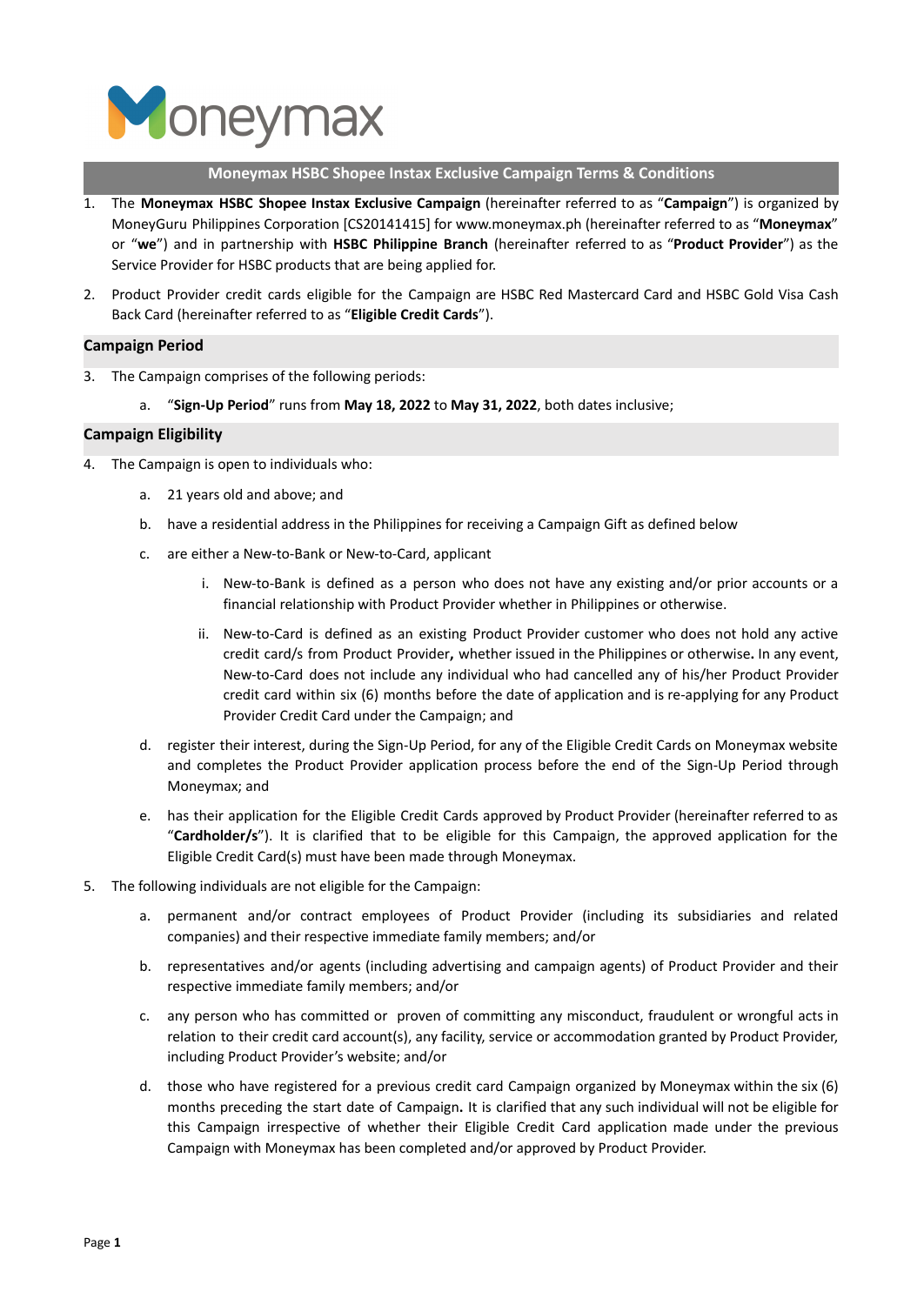

#### **Moneymax HSBC Shopee Instax Exclusive Campaign Terms & Conditions**

- 1. The **Moneymax HSBC Shopee Instax Exclusive Campaign** (hereinafter referred to as "**Campaign**") is organized by MoneyGuru Philippines Corporation [CS20141415] for www.moneymax.ph (hereinafter referred to as "**Moneymax**" or "**we**") and in partnership with **HSBC Philippine Branch** (hereinafter referred to as "**Product Provider**") as the Service Provider for HSBC products that are being applied for.
- 2. Product Provider credit cards eligible for the Campaign are HSBC Red Mastercard Card and HSBC Gold Visa Cash Back Card (hereinafter referred to as "**Eligible Credit Cards**").

# **Campaign Period**

- 3. The Campaign comprises of the following periods:
	- a. "**Sign-Up Period**" runs from **May 18, 2022** to **May 31, 2022**, both dates inclusive;

## **Campaign Eligibility**

- 4. The Campaign is open to individuals who:
	- a. 21 years old and above; and
	- b. have a residential address in the Philippines for receiving a Campaign Gift as defined below
	- c. are either a New-to-Bank or New-to-Card, applicant
		- i. New-to-Bank is defined as a person who does not have any existing and/or prior accounts or a financial relationship with Product Provider whether in Philippines or otherwise.
		- ii. New-to-Card is defined as an existing Product Provider customer who does not hold any active credit card/s from Product Provider**,** whether issued in the Philippines or otherwise**.** In any event, New-to-Card does not include any individual who had cancelled any of his/her Product Provider credit card within six (6) months before the date of application and is re-applying for any Product Provider Credit Card under the Campaign; and
	- d. register their interest, during the Sign-Up Period, for any of the Eligible Credit Cards on Moneymax website and completes the Product Provider application process before the end of the Sign-Up Period through Moneymax; and
	- e. has their application for the Eligible Credit Cards approved by Product Provider (hereinafter referred to as "**Cardholder/s**"). It is clarified that to be eligible for this Campaign, the approved application for the Eligible Credit Card(s) must have been made through Moneymax.
- 5. The following individuals are not eligible for the Campaign:
	- a. permanent and/or contract employees of Product Provider (including its subsidiaries and related companies) and their respective immediate family members; and/or
	- b. representatives and/or agents (including advertising and campaign agents) of Product Provider and their respective immediate family members; and/or
	- c. any person who has committed or proven of committing any misconduct, fraudulent or wrongful acts in relation to their credit card account(s), any facility, service or accommodation granted by Product Provider, including Product Provider's website; and/or
	- d. those who have registered for a previous credit card Campaign organized by Moneymax within the six (6) months preceding the start date of Campaign**.** It is clarified that any such individual will not be eligible for this Campaign irrespective of whether their Eligible Credit Card application made under the previous Campaign with Moneymax has been completed and/or approved by Product Provider.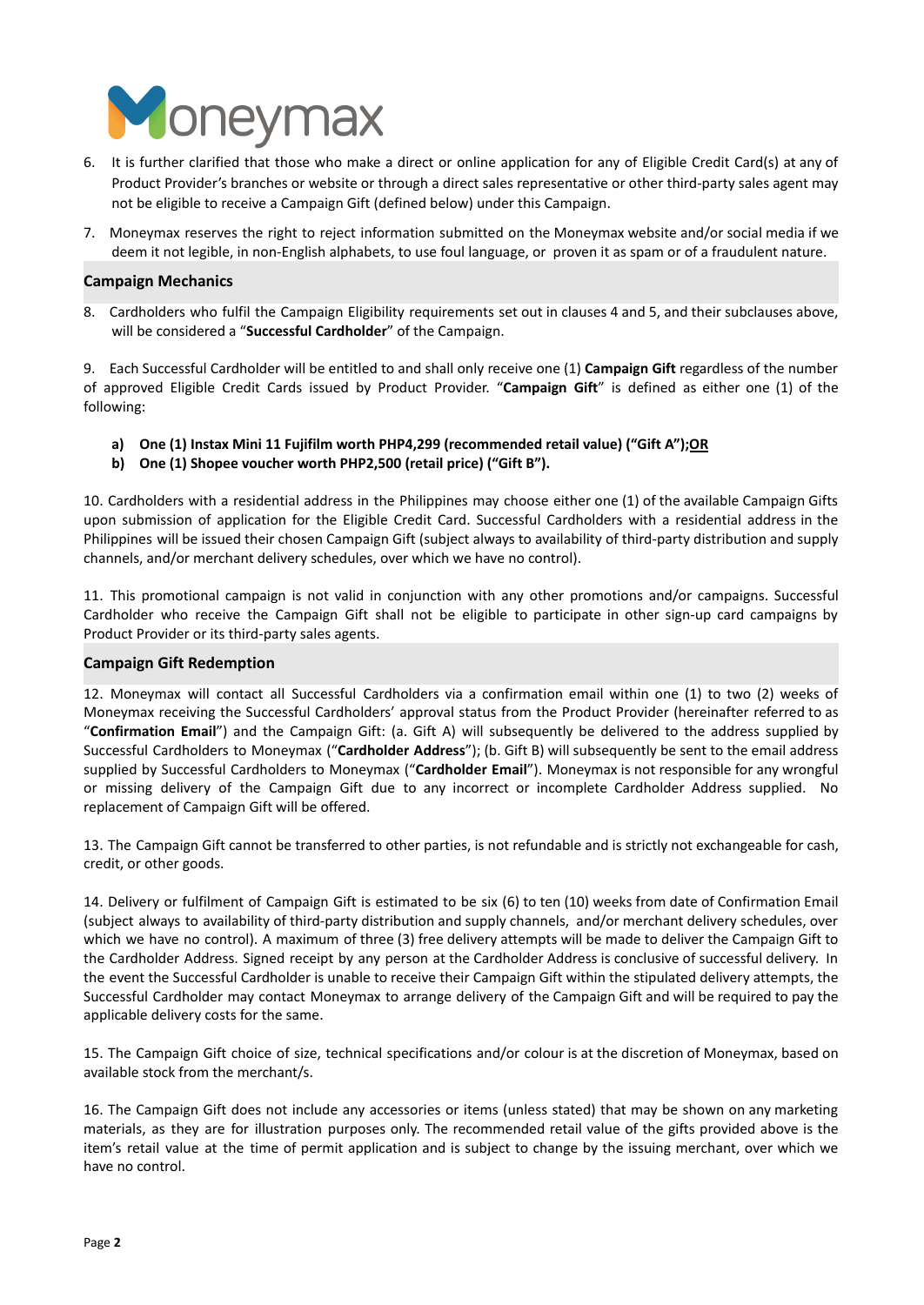

- 6. It is further clarified that those who make a direct or online application for any of Eligible Credit Card(s) at any of Product Provider's branches or website or through a direct sales representative or other third-party sales agent may not be eligible to receive a Campaign Gift (defined below) under this Campaign.
- 7. Moneymax reserves the right to reject information submitted on the Moneymax website and/or social media if we deem it not legible, in non-English alphabets, to use foul language, or proven it as spam or of a fraudulent nature.

## **Campaign Mechanics**

8. Cardholders who fulfil the Campaign Eligibility requirements set out in clauses 4 and 5, and their subclauses above, will be considered a "**Successful Cardholder**" of the Campaign.

9. Each Successful Cardholder will be entitled to and shall only receive one (1) **Campaign Gift** regardless of the number of approved Eligible Credit Cards issued by Product Provider. "**Campaign Gift**" is defined as either one (1) of the following:

- **a) One (1) Instax Mini 11 Fujifilm worth PHP4,299 (recommended retail value) ("Gift A");OR**
- **b) One (1) Shopee voucher worth PHP2,500 (retail price) ("Gift B").**

10. Cardholders with a residential address in the Philippines may choose either one (1) of the available Campaign Gifts upon submission of application for the Eligible Credit Card. Successful Cardholders with a residential address in the Philippines will be issued their chosen Campaign Gift (subject always to availability of third-party distribution and supply channels, and/or merchant delivery schedules, over which we have no control).

11. This promotional campaign is not valid in conjunction with any other promotions and/or campaigns. Successful Cardholder who receive the Campaign Gift shall not be eligible to participate in other sign-up card campaigns by Product Provider or its third-party sales agents.

## **Campaign Gift Redemption**

12. Moneymax will contact all Successful Cardholders via a confirmation email within one (1) to two (2) weeks of Moneymax receiving the Successful Cardholders' approval status from the Product Provider (hereinafter referred to as "**Confirmation Email**") and the Campaign Gift: (a. Gift A) will subsequently be delivered to the address supplied by Successful Cardholders to Moneymax ("**Cardholder Address**"); (b. Gift B) will subsequently be sent to the email address supplied by Successful Cardholders to Moneymax ("**Cardholder Email**"). Moneymax is not responsible for any wrongful or missing delivery of the Campaign Gift due to any incorrect or incomplete Cardholder Address supplied. No replacement of Campaign Gift will be offered.

13. The Campaign Gift cannot be transferred to other parties, is not refundable and is strictly not exchangeable for cash, credit, or other goods.

14. Delivery or fulfilment of Campaign Gift is estimated to be six (6) to ten (10) weeks from date of Confirmation Email (subject always to availability of third-party distribution and supply channels, and/or merchant delivery schedules, over which we have no control). A maximum of three (3) free delivery attempts will be made to deliver the Campaign Gift to the Cardholder Address. Signed receipt by any person at the Cardholder Address is conclusive of successful delivery. In the event the Successful Cardholder is unable to receive their Campaign Gift within the stipulated delivery attempts, the Successful Cardholder may contact Moneymax to arrange delivery of the Campaign Gift and will be required to pay the applicable delivery costs for the same.

15. The Campaign Gift choice of size, technical specifications and/or colour is at the discretion of Moneymax, based on available stock from the merchant/s.

16. The Campaign Gift does not include any accessories or items (unless stated) that may be shown on any marketing materials, as they are for illustration purposes only. The recommended retail value of the gifts provided above is the item's retail value at the time of permit application and is subject to change by the issuing merchant, over which we have no control.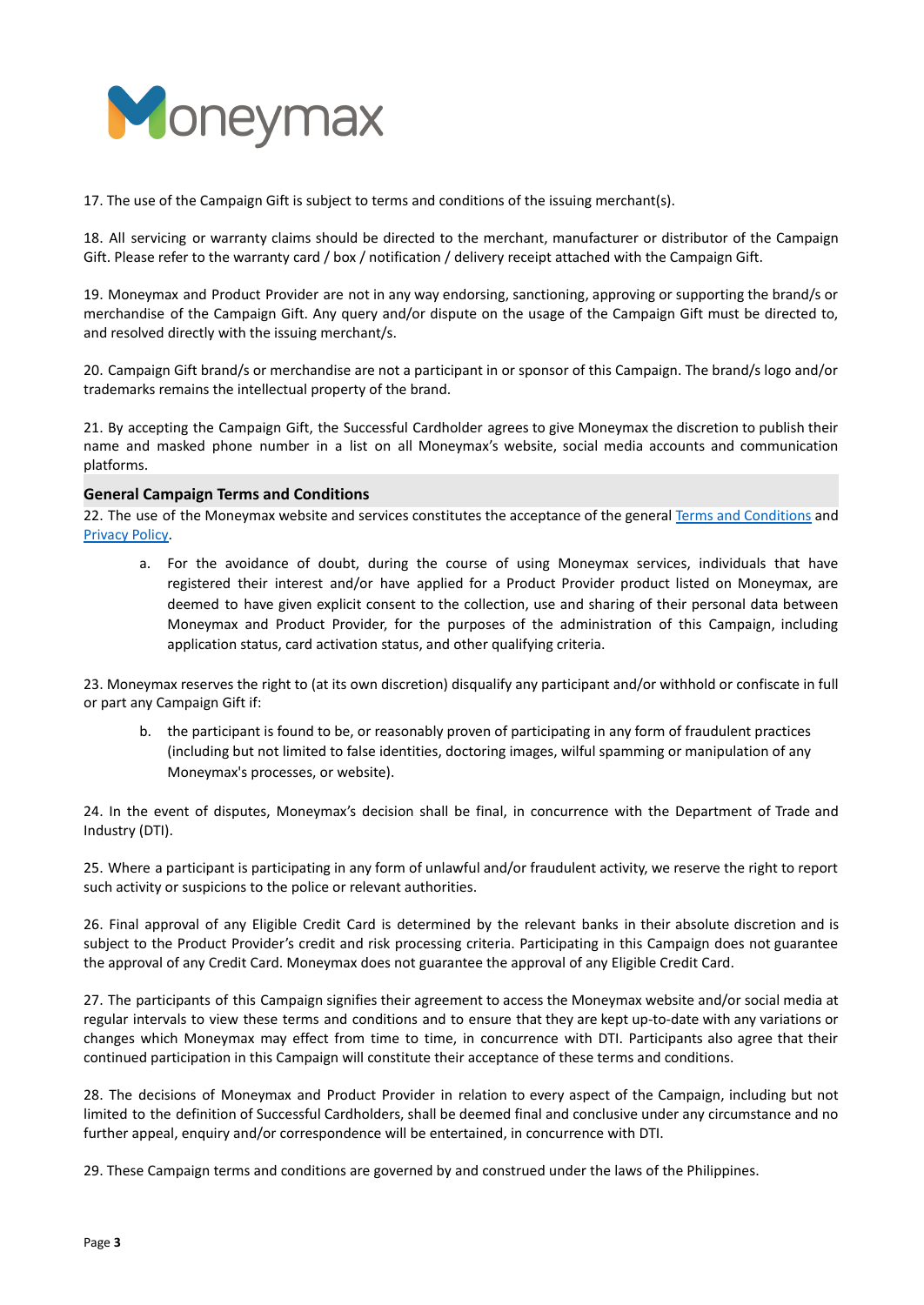

17. The use of the Campaign Gift is subject to terms and conditions of the issuing merchant(s).

18. All servicing or warranty claims should be directed to the merchant, manufacturer or distributor of the Campaign Gift. Please refer to the warranty card / box / notification / delivery receipt attached with the Campaign Gift.

19. Moneymax and Product Provider are not in any way endorsing, sanctioning, approving or supporting the brand/s or merchandise of the Campaign Gift. Any query and/or dispute on the usage of the Campaign Gift must be directed to, and resolved directly with the issuing merchant/s.

20. Campaign Gift brand/s or merchandise are not a participant in or sponsor of this Campaign. The brand/s logo and/or trademarks remains the intellectual property of the brand.

21. By accepting the Campaign Gift, the Successful Cardholder agrees to give Moneymax the discretion to publish their name and masked phone number in a list on all Moneymax's website, social media accounts and communication platforms.

#### **General Campaign Terms and Conditions**

22. The use of the Moneymax website and services constitutes the acceptance of the general Terms and [Conditions](https://www.moneymax.ph/terms-and-conditions) and [Privacy](https://www.moneymax.ph/privacy-policy) Policy.

a. For the avoidance of doubt, during the course of using Moneymax services, individuals that have registered their interest and/or have applied for a Product Provider product listed on Moneymax, are deemed to have given explicit consent to the collection, use and sharing of their personal data between Moneymax and Product Provider, for the purposes of the administration of this Campaign, including application status, card activation status, and other qualifying criteria.

23. Moneymax reserves the right to (at its own discretion) disqualify any participant and/or withhold or confiscate in full or part any Campaign Gift if:

b. the participant is found to be, or reasonably proven of participating in any form of fraudulent practices (including but not limited to false identities, doctoring images, wilful spamming or manipulation of any Moneymax's processes, or website).

24. In the event of disputes, Moneymax's decision shall be final, in concurrence with the Department of Trade and Industry (DTI).

25. Where a participant is participating in any form of unlawful and/or fraudulent activity, we reserve the right to report such activity or suspicions to the police or relevant authorities.

26. Final approval of any Eligible Credit Card is determined by the relevant banks in their absolute discretion and is subject to the Product Provider's credit and risk processing criteria. Participating in this Campaign does not guarantee the approval of any Credit Card. Moneymax does not guarantee the approval of any Eligible Credit Card.

27. The participants of this Campaign signifies their agreement to access the Moneymax website and/or social media at regular intervals to view these terms and conditions and to ensure that they are kept up-to-date with any variations or changes which Moneymax may effect from time to time, in concurrence with DTI. Participants also agree that their continued participation in this Campaign will constitute their acceptance of these terms and conditions.

28. The decisions of Moneymax and Product Provider in relation to every aspect of the Campaign, including but not limited to the definition of Successful Cardholders, shall be deemed final and conclusive under any circumstance and no further appeal, enquiry and/or correspondence will be entertained, in concurrence with DTI.

29. These Campaign terms and conditions are governed by and construed under the laws of the Philippines.